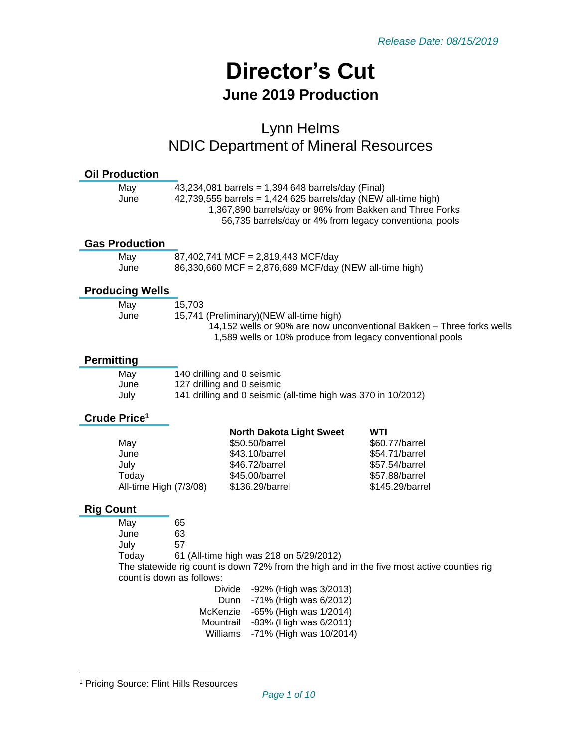# **Director's Cut June 2019 Production**

# Lynn Helms NDIC Department of Mineral Resources

| <b>Oil Production</b>           |                                                                                                                                                                                                                                               |                                                                                            |                                                                       |  |
|---------------------------------|-----------------------------------------------------------------------------------------------------------------------------------------------------------------------------------------------------------------------------------------------|--------------------------------------------------------------------------------------------|-----------------------------------------------------------------------|--|
| May<br>June                     | 43,234,081 barrels = 1,394,648 barrels/day (Final)<br>42,739,555 barrels = $1,424,625$ barrels/day (NEW all-time high)<br>1,367,890 barrels/day or 96% from Bakken and Three Forks<br>56,735 barrels/day or 4% from legacy conventional pools |                                                                                            |                                                                       |  |
| <b>Gas Production</b>           |                                                                                                                                                                                                                                               |                                                                                            |                                                                       |  |
| May                             | 87,402,741 MCF = 2,819,443 MCF/day<br>86,330,660 MCF = 2,876,689 MCF/day (NEW all-time high)                                                                                                                                                  |                                                                                            |                                                                       |  |
| June                            |                                                                                                                                                                                                                                               |                                                                                            |                                                                       |  |
| <b>Producing Wells</b>          |                                                                                                                                                                                                                                               |                                                                                            |                                                                       |  |
| May                             | 15,703                                                                                                                                                                                                                                        |                                                                                            |                                                                       |  |
| June                            |                                                                                                                                                                                                                                               | 15,741 (Preliminary)(NEW all-time high)                                                    | 14,152 wells or 90% are now unconventional Bakken - Three forks wells |  |
|                                 |                                                                                                                                                                                                                                               | 1,589 wells or 10% produce from legacy conventional pools                                  |                                                                       |  |
| <b>Permitting</b>               |                                                                                                                                                                                                                                               |                                                                                            |                                                                       |  |
| May                             |                                                                                                                                                                                                                                               | 140 drilling and 0 seismic                                                                 |                                                                       |  |
| June                            |                                                                                                                                                                                                                                               | 127 drilling and 0 seismic                                                                 |                                                                       |  |
| July                            |                                                                                                                                                                                                                                               | 141 drilling and 0 seismic (all-time high was 370 in 10/2012)                              |                                                                       |  |
|                                 |                                                                                                                                                                                                                                               |                                                                                            |                                                                       |  |
| Crude Price <sup>1</sup>        |                                                                                                                                                                                                                                               |                                                                                            |                                                                       |  |
|                                 |                                                                                                                                                                                                                                               | <b>North Dakota Light Sweet</b>                                                            | WTI                                                                   |  |
| May                             |                                                                                                                                                                                                                                               | \$50,50/barrel                                                                             | \$60.77/barrel                                                        |  |
| June                            |                                                                                                                                                                                                                                               | \$43.10/barrel                                                                             | \$54.71/barrel                                                        |  |
| July                            |                                                                                                                                                                                                                                               | \$46.72/barrel                                                                             | \$57.54/barrel                                                        |  |
| Today<br>All-time High (7/3/08) |                                                                                                                                                                                                                                               | \$45.00/barrel<br>\$136.29/barrel                                                          | \$57.88/barrel<br>\$145.29/barrel                                     |  |
| <b>Rig Count</b>                |                                                                                                                                                                                                                                               |                                                                                            |                                                                       |  |
| May                             | 65                                                                                                                                                                                                                                            |                                                                                            |                                                                       |  |
| June                            | 63                                                                                                                                                                                                                                            |                                                                                            |                                                                       |  |
| July                            | 57                                                                                                                                                                                                                                            |                                                                                            |                                                                       |  |
| Today                           |                                                                                                                                                                                                                                               | 61 (All-time high was 218 on 5/29/2012)                                                    |                                                                       |  |
|                                 |                                                                                                                                                                                                                                               | The statewide rig count is down 72% from the high and in the five most active counties rig |                                                                       |  |
|                                 | count is down as follows:                                                                                                                                                                                                                     | Divide<br>-92% (High was 3/2013)                                                           |                                                                       |  |
|                                 |                                                                                                                                                                                                                                               | -71% (High was 6/2012)<br>Dunn                                                             |                                                                       |  |
|                                 | McKenzie                                                                                                                                                                                                                                      | -65% (High was 1/2014)                                                                     |                                                                       |  |
|                                 | Mountrail<br>Williams                                                                                                                                                                                                                         | -83% (High was 6/2011)<br>-71% (High was 10/2014)                                          |                                                                       |  |

<sup>1</sup> Pricing Source: Flint Hills Resources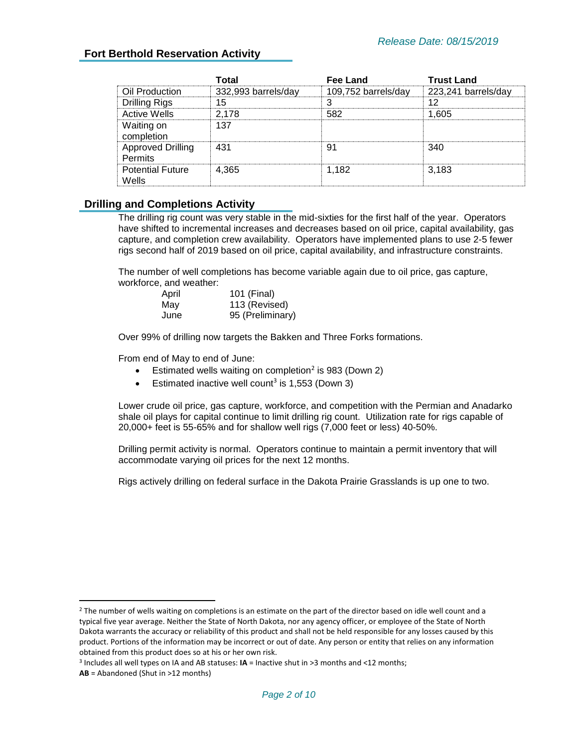#### **Fort Berthold Reservation Activity**

|                                            | Г∩tal               | Fee Land            | Trust Land          |
|--------------------------------------------|---------------------|---------------------|---------------------|
| Oil Production                             | 332,993 barrels/day | 109,752 barrels/day | 223,241 barrels/day |
| <b>Drilling Rigs</b>                       | 15                  |                     | 12                  |
| <b>Active Wells</b>                        | 2.178               | 582                 | .605                |
| Waiting on<br>completion                   | 137                 |                     |                     |
| <b>Approved Drilling</b><br><b>Permits</b> | 431                 | 91                  | 340                 |
| <b>Potential Future</b><br>Wells           | 4.365               | 1.182               | 3.183               |

#### **Drilling and Completions Activity**

The drilling rig count was very stable in the mid-sixties for the first half of the year. Operators have shifted to incremental increases and decreases based on oil price, capital availability, gas capture, and completion crew availability. Operators have implemented plans to use 2-5 fewer rigs second half of 2019 based on oil price, capital availability, and infrastructure constraints.

The number of well completions has become variable again due to oil price, gas capture, workforce, and weather:

| April | 101 (Final)      |
|-------|------------------|
| May   | 113 (Revised)    |
| June  | 95 (Preliminary) |

Over 99% of drilling now targets the Bakken and Three Forks formations.

From end of May to end of June:

- **•** Estimated wells waiting on completion<sup>2</sup> is 983 (Down 2)
- Estimated inactive well count<sup>3</sup> is 1,553 (Down 3)

Lower crude oil price, gas capture, workforce, and competition with the Permian and Anadarko shale oil plays for capital continue to limit drilling rig count. Utilization rate for rigs capable of 20,000+ feet is 55-65% and for shallow well rigs (7,000 feet or less) 40-50%.

Drilling permit activity is normal. Operators continue to maintain a permit inventory that will accommodate varying oil prices for the next 12 months.

Rigs actively drilling on federal surface in the Dakota Prairie Grasslands is up one to two.

 $2$  The number of wells waiting on completions is an estimate on the part of the director based on idle well count and a typical five year average. Neither the State of North Dakota, nor any agency officer, or employee of the State of North Dakota warrants the accuracy or reliability of this product and shall not be held responsible for any losses caused by this product. Portions of the information may be incorrect or out of date. Any person or entity that relies on any information obtained from this product does so at his or her own risk.

<sup>3</sup> Includes all well types on IA and AB statuses: **IA** = Inactive shut in >3 months and <12 months;

**AB** = Abandoned (Shut in >12 months)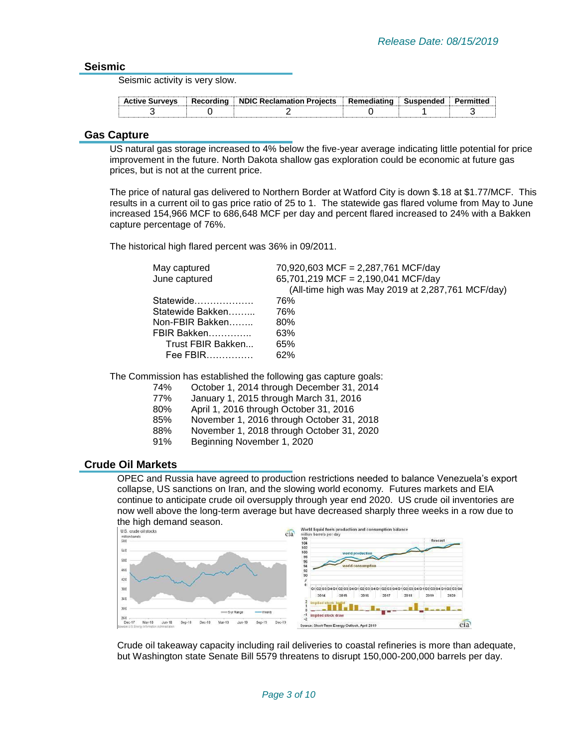#### **Seismic**

Seismic activity is very slow.

| <b>Active Surveys</b> | Recordina | <b>J. NDIC Reclamation Projects</b> | ∣ Remediating | Susnended | mittec |
|-----------------------|-----------|-------------------------------------|---------------|-----------|--------|
|                       |           |                                     |               |           |        |

#### **Gas Capture**

US natural gas storage increased to 4% below the five-year average indicating little potential for price improvement in the future. North Dakota shallow gas exploration could be economic at future gas prices, but is not at the current price.

The price of natural gas delivered to Northern Border at Watford City is down \$.18 at \$1.77/MCF. This results in a current oil to gas price ratio of 25 to 1. The statewide gas flared volume from May to June increased 154,966 MCF to 686,648 MCF per day and percent flared increased to 24% with a Bakken capture percentage of 76%.

The historical high flared percent was 36% in 09/2011.

| May captured      | 70,920,603 MCF = 2,287,761 MCF/day                |
|-------------------|---------------------------------------------------|
| June captured     | 65,701,219 MCF = 2,190,041 MCF/day                |
|                   | (All-time high was May 2019 at 2,287,761 MCF/day) |
| Statewide         | 76%                                               |
| Statewide Bakken  | 76%                                               |
| Non-FBIR Bakken   | 80%                                               |
| FBIR Bakken       | 63%                                               |
| Trust FBIR Bakken | 65%                                               |
| Fee FBIR          | 62%                                               |
|                   |                                                   |

The Commission has established the following gas capture goals:

- 74% October 1, 2014 through December 31, 2014
- 77% January 1, 2015 through March 31, 2016
- 80% April 1, 2016 through October 31, 2016
- 85% November 1, 2016 through October 31, 2018
- 88% November 1, 2018 through October 31, 2020
- 91% Beginning November 1, 2020

#### **Crude Oil Markets**

OPEC and Russia have agreed to production restrictions needed to balance Venezuela's export collapse, US sanctions on Iran, and the slowing world economy. Futures markets and EIA continue to anticipate crude oil oversupply through year end 2020. US crude oil inventories are now well above the long-term average but have decreased sharply three weeks in a row due to



Crude oil takeaway capacity including rail deliveries to coastal refineries is more than adequate, but Washington state Senate Bill 5579 threatens to disrupt 150,000-200,000 barrels per day.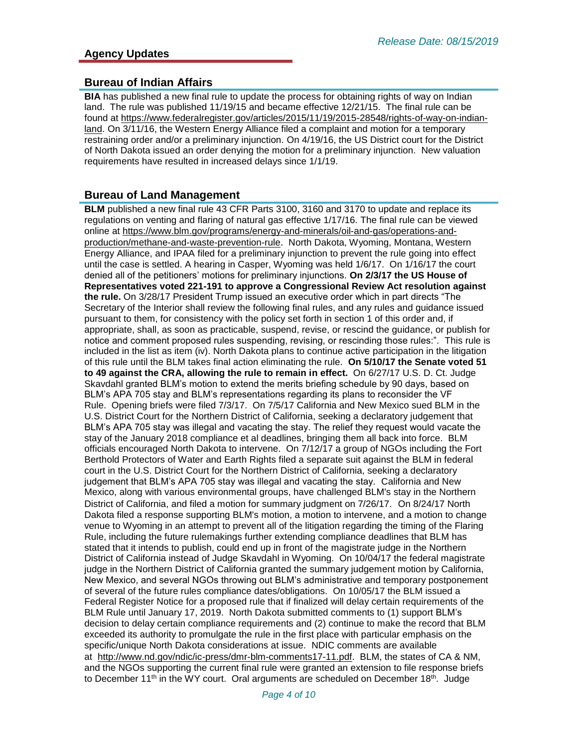#### **Bureau of Indian Affairs**

**BIA** has published a new final rule to update the process for obtaining rights of way on Indian land. The rule was published 11/19/15 and became effective 12/21/15. The final rule can be found at [https://www.federalregister.gov/articles/2015/11/19/2015-28548/rights-of-way-on-indian](https://www.federalregister.gov/articles/2015/11/19/2015-28548/rights-of-way-on-indian-land)[land.](https://www.federalregister.gov/articles/2015/11/19/2015-28548/rights-of-way-on-indian-land) On 3/11/16, the Western Energy Alliance filed a complaint and motion for a temporary restraining order and/or a preliminary injunction. On 4/19/16, the US District court for the District of North Dakota issued an order denying the motion for a preliminary injunction. New valuation requirements have resulted in increased delays since 1/1/19.

#### **Bureau of Land Management**

**BLM** published a new final rule 43 CFR Parts 3100, 3160 and 3170 to update and replace its regulations on venting and flaring of natural gas effective 1/17/16. The final rule can be viewed online at [https://www.blm.gov/programs/energy-and-minerals/oil-and-gas/operations-and](https://www.blm.gov/programs/energy-and-minerals/oil-and-gas/operations-and-production/methane-and-waste-prevention-rule)[production/methane-and-waste-prevention-rule](https://www.blm.gov/programs/energy-and-minerals/oil-and-gas/operations-and-production/methane-and-waste-prevention-rule). North Dakota, Wyoming, Montana, Western Energy Alliance, and IPAA filed for a preliminary injunction to prevent the rule going into effect until the case is settled. A hearing in Casper, Wyoming was held 1/6/17. On 1/16/17 the court denied all of the petitioners' motions for preliminary injunctions. **On 2/3/17 the US House of Representatives voted 221-191 to approve a Congressional Review Act resolution against the rule.** On 3/28/17 President Trump issued an executive order which in part directs "The Secretary of the Interior shall review the following final rules, and any rules and guidance issued pursuant to them, for consistency with the policy set forth in section 1 of this order and, if appropriate, shall, as soon as practicable, suspend, revise, or rescind the guidance, or publish for notice and comment proposed rules suspending, revising, or rescinding those rules:". This rule is included in the list as item (iv). North Dakota plans to continue active participation in the litigation of this rule until the BLM takes final action eliminating the rule. **On 5/10/17 the Senate voted 51 to 49 against the CRA, allowing the rule to remain in effect.** On 6/27/17 U.S. D. Ct. Judge Skavdahl granted BLM's motion to extend the merits briefing schedule by 90 days, based on BLM's APA 705 stay and BLM's representations regarding its plans to reconsider the VF Rule. Opening briefs were filed 7/3/17. On 7/5/17 California and New Mexico sued BLM in the U.S. District Court for the Northern District of California, seeking a declaratory judgement that BLM's APA 705 stay was illegal and vacating the stay. The relief they request would vacate the stay of the January 2018 compliance et al deadlines, bringing them all back into force. BLM officials encouraged North Dakota to intervene. On 7/12/17 a group of NGOs including the Fort Berthold Protectors of Water and Earth Rights filed a separate suit against the BLM in federal court in the U.S. District Court for the Northern District of California, seeking a declaratory judgement that BLM's APA 705 stay was illegal and vacating the stay. California and New Mexico, along with various environmental groups, have challenged BLM's stay in the Northern District of California, and filed a motion for summary judgment on 7/26/17. On 8/24/17 North Dakota filed a response supporting BLM's motion, a motion to intervene, and a motion to change venue to Wyoming in an attempt to prevent all of the litigation regarding the timing of the Flaring Rule, including the future rulemakings further extending compliance deadlines that BLM has stated that it intends to publish, could end up in front of the magistrate judge in the Northern District of California instead of Judge Skavdahl in Wyoming. On 10/04/17 the federal magistrate judge in the Northern District of California granted the summary judgement motion by California, New Mexico, and several NGOs throwing out BLM's administrative and temporary postponement of several of the future rules compliance dates/obligations. On 10/05/17 the BLM issued a Federal Register Notice for a proposed rule that if finalized will delay certain requirements of the BLM Rule until January 17, 2019. North Dakota submitted comments to (1) support BLM's decision to delay certain compliance requirements and (2) continue to make the record that BLM exceeded its authority to promulgate the rule in the first place with particular emphasis on the specific/unique North Dakota considerations at issue. NDIC comments are available at [http://www.nd.gov/ndic/ic-press/dmr-blm-comments17-11.pdf.](http://www.nd.gov/ndic/ic-press/dmr-blm-comments17-11.pdf) BLM, the states of CA & NM, and the NGOs supporting the current final rule were granted an extension to file response briefs to December 11<sup>th</sup> in the WY court. Oral arguments are scheduled on December 18<sup>th</sup>. Judge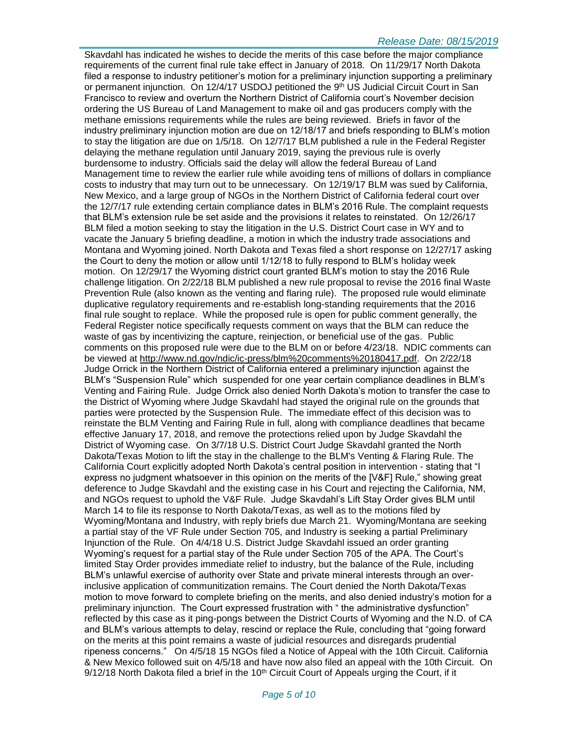Skavdahl has indicated he wishes to decide the merits of this case before the major compliance requirements of the current final rule take effect in January of 2018. On 11/29/17 North Dakota filed a response to industry petitioner's motion for a preliminary injunction supporting a preliminary or permanent injunction. On 12/4/17 USDOJ petitioned the 9<sup>th</sup> US Judicial Circuit Court in San Francisco to review and overturn the Northern District of California court's November decision ordering the US Bureau of Land Management to make oil and gas producers comply with the methane emissions requirements while the rules are being reviewed. Briefs in favor of the industry preliminary injunction motion are due on 12/18/17 and briefs responding to BLM's motion to stay the litigation are due on 1/5/18. On 12/7/17 BLM published a rule in the Federal Register delaying the methane regulation until January 2019, saying the previous rule is overly burdensome to industry. Officials said the delay will allow the federal Bureau of Land Management time to review the earlier rule while avoiding tens of millions of dollars in compliance costs to industry that may turn out to be unnecessary. On 12/19/17 BLM was sued by California, New Mexico, and a large group of NGOs in the Northern District of California federal court over the 12/7/17 rule extending certain compliance dates in BLM's 2016 Rule. The complaint requests that BLM's extension rule be set aside and the provisions it relates to reinstated. On 12/26/17 BLM filed a motion seeking to stay the litigation in the U.S. District Court case in WY and to vacate the January 5 briefing deadline, a motion in which the industry trade associations and Montana and Wyoming joined. North Dakota and Texas filed a short response on 12/27/17 asking the Court to deny the motion or allow until 1/12/18 to fully respond to BLM's holiday week motion. On 12/29/17 the Wyoming district court granted BLM's motion to stay the 2016 Rule challenge litigation. On 2/22/18 BLM published a new rule proposal to revise the 2016 final Waste Prevention Rule (also known as the venting and flaring rule). The proposed rule would eliminate duplicative regulatory requirements and re-establish long-standing requirements that the 2016 final rule sought to replace. While the proposed rule is open for public comment generally, the Federal Register notice specifically requests comment on ways that the BLM can reduce the waste of gas by incentivizing the capture, reinjection, or beneficial use of the gas. Public comments on this proposed rule were due to the BLM on or before 4/23/18. NDIC comments can be viewed at [http://www.nd.gov/ndic/ic-press/blm%20comments%20180417.pdf.](http://www.nd.gov/ndic/ic-press/blm%20comments%20180417.pdf) On 2/22/18 Judge Orrick in the Northern District of California entered a preliminary injunction against the BLM's "Suspension Rule" which suspended for one year certain compliance deadlines in BLM's Venting and Fairing Rule. Judge Orrick also denied North Dakota's motion to transfer the case to the District of Wyoming where Judge Skavdahl had stayed the original rule on the grounds that parties were protected by the Suspension Rule. The immediate effect of this decision was to reinstate the BLM Venting and Fairing Rule in full, along with compliance deadlines that became effective January 17, 2018, and remove the protections relied upon by Judge Skavdahl the District of Wyoming case. On 3/7/18 U.S. District Court Judge Skavdahl granted the North Dakota/Texas Motion to lift the stay in the challenge to the BLM's Venting & Flaring Rule. The California Court explicitly adopted North Dakota's central position in intervention - stating that "I express no judgment whatsoever in this opinion on the merits of the [V&F] Rule," showing great deference to Judge Skavdahl and the existing case in his Court and rejecting the California, NM, and NGOs request to uphold the V&F Rule. Judge Skavdahl's Lift Stay Order gives BLM until March 14 to file its response to North Dakota/Texas, as well as to the motions filed by Wyoming/Montana and Industry, with reply briefs due March 21. Wyoming/Montana are seeking a partial stay of the VF Rule under Section 705, and Industry is seeking a partial Preliminary Injunction of the Rule. On 4/4/18 U.S. District Judge Skavdahl issued an order granting Wyoming's request for a partial stay of the Rule under Section 705 of the APA. The Court's limited Stay Order provides immediate relief to industry, but the balance of the Rule, including BLM's unlawful exercise of authority over State and private mineral interests through an overinclusive application of communitization remains. The Court denied the North Dakota/Texas motion to move forward to complete briefing on the merits, and also denied industry's motion for a preliminary injunction. The Court expressed frustration with " the administrative dysfunction" reflected by this case as it ping-pongs between the District Courts of Wyoming and the N.D. of CA and BLM's various attempts to delay, rescind or replace the Rule, concluding that "going forward on the merits at this point remains a waste of judicial resources and disregards prudential ripeness concerns." On 4/5/18 15 NGOs filed a Notice of Appeal with the 10th Circuit. California & New Mexico followed suit on 4/5/18 and have now also filed an appeal with the 10th Circuit. On  $9/12/18$  North Dakota filed a brief in the 10<sup>th</sup> Circuit Court of Appeals urging the Court, if it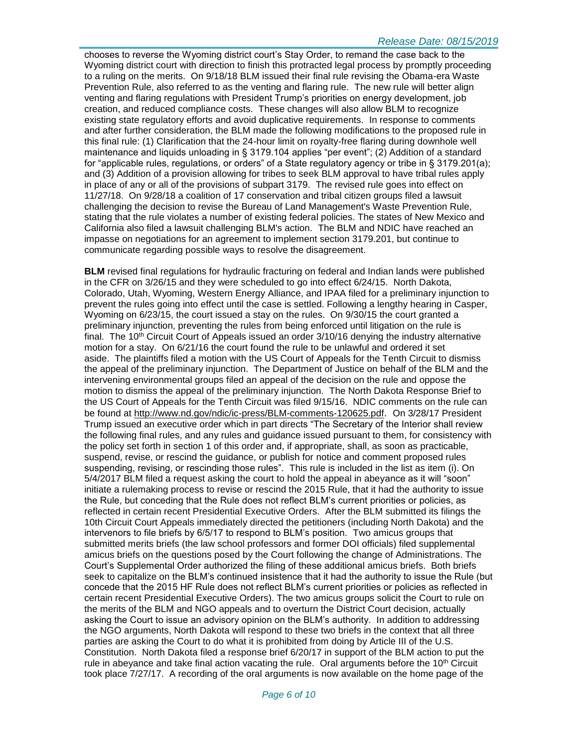chooses to reverse the Wyoming district court's Stay Order, to remand the case back to the Wyoming district court with direction to finish this protracted legal process by promptly proceeding to a ruling on the merits. On 9/18/18 BLM issued their final rule revising the Obama-era Waste Prevention Rule, also referred to as the venting and flaring rule. The new rule will better align venting and flaring regulations with President Trump's priorities on energy development, job creation, and reduced compliance costs. These changes will also allow BLM to recognize existing state regulatory efforts and avoid duplicative requirements. In response to comments and after further consideration, the BLM made the following modifications to the proposed rule in this final rule: (1) Clarification that the 24-hour limit on royalty-free flaring during downhole well maintenance and liquids unloading in § 3179.104 applies "per event"; (2) Addition of a standard for "applicable rules, regulations, or orders" of a State regulatory agency or tribe in § 3179.201(a); and (3) Addition of a provision allowing for tribes to seek BLM approval to have tribal rules apply in place of any or all of the provisions of subpart 3179. The revised rule goes into effect on 11/27/18. On 9/28/18 a coalition of 17 conservation and tribal citizen groups filed a lawsuit challenging the decision to revise the Bureau of Land Management's Waste Prevention Rule, stating that the rule violates a number of existing federal policies. The states of New Mexico and California also filed a lawsuit challenging BLM's action. The BLM and NDIC have reached an impasse on negotiations for an agreement to implement section 3179.201, but continue to communicate regarding possible ways to resolve the disagreement.

**BLM** revised final regulations for hydraulic fracturing on federal and Indian lands were published in the CFR on 3/26/15 and they were scheduled to go into effect 6/24/15. North Dakota, Colorado, Utah, Wyoming, Western Energy Alliance, and IPAA filed for a preliminary injunction to prevent the rules going into effect until the case is settled. Following a lengthy hearing in Casper, Wyoming on 6/23/15, the court issued a stay on the rules. On 9/30/15 the court granted a preliminary injunction, preventing the rules from being enforced until litigation on the rule is final. The 10<sup>th</sup> Circuit Court of Appeals issued an order  $3/10/16$  denying the industry alternative motion for a stay. On 6/21/16 the court found the rule to be unlawful and ordered it set aside. The plaintiffs filed a motion with the US Court of Appeals for the Tenth Circuit to dismiss the appeal of the preliminary injunction. The Department of Justice on behalf of the BLM and the intervening environmental groups filed an appeal of the decision on the rule and oppose the motion to dismiss the appeal of the preliminary injunction. The North Dakota Response Brief to the US Court of Appeals for the Tenth Circuit was filed 9/15/16. NDIC comments on the rule can be found at<http://www.nd.gov/ndic/ic-press/BLM-comments-120625.pdf>. On 3/28/17 President Trump issued an executive order which in part directs "The Secretary of the Interior shall review the following final rules, and any rules and guidance issued pursuant to them, for consistency with the policy set forth in section 1 of this order and, if appropriate, shall, as soon as practicable, suspend, revise, or rescind the guidance, or publish for notice and comment proposed rules suspending, revising, or rescinding those rules". This rule is included in the list as item (i). On 5/4/2017 BLM filed a request asking the court to hold the appeal in abeyance as it will "soon" initiate a rulemaking process to revise or rescind the 2015 Rule, that it had the authority to issue the Rule, but conceding that the Rule does not reflect BLM's current priorities or policies, as reflected in certain recent Presidential Executive Orders. After the BLM submitted its filings the 10th Circuit Court Appeals immediately directed the petitioners (including North Dakota) and the intervenors to file briefs by 6/5/17 to respond to BLM's position. Two amicus groups that submitted merits briefs (the law school professors and former DOI officials) filed supplemental amicus briefs on the questions posed by the Court following the change of Administrations. The Court's Supplemental Order authorized the filing of these additional amicus briefs. Both briefs seek to capitalize on the BLM's continued insistence that it had the authority to issue the Rule (but concede that the 2015 HF Rule does not reflect BLM's current priorities or policies as reflected in certain recent Presidential Executive Orders). The two amicus groups solicit the Court to rule on the merits of the BLM and NGO appeals and to overturn the District Court decision, actually asking the Court to issue an advisory opinion on the BLM's authority. In addition to addressing the NGO arguments, North Dakota will respond to these two briefs in the context that all three parties are asking the Court to do what it is prohibited from doing by Article III of the U.S. Constitution. North Dakota filed a response brief 6/20/17 in support of the BLM action to put the rule in abeyance and take final action vacating the rule. Oral arguments before the 10<sup>th</sup> Circuit took place 7/27/17. A recording of the oral arguments is now available on the home page of the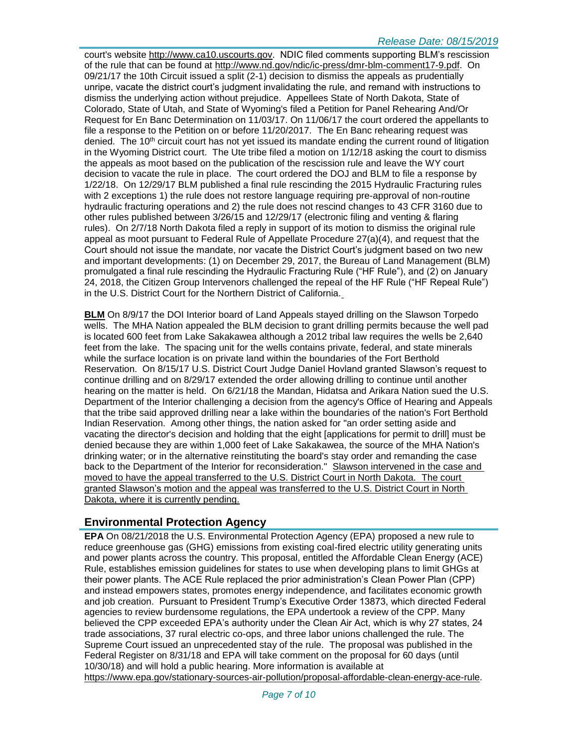#### *Release Date: 08/15/2019*

court's website [http://www.ca10.uscourts.gov.](https://urldefense.proofpoint.com/v2/url?u=http-3A__www.ca10.uscourts.gov&d=DwMGaQ&c=2s2mvbfY0UoSKkl6_Ol9wg&r=-wqsZnBxny594KY8HeElow&m=Ul_VtJUX6iW5pvHjCcBxUWtskC0F4Dhry3sPtcEHvCw&s=laRHiLDv5w8otcQWQjpn82WMieoB2AZ-Q4M1LFQPL5s&e=) NDIC filed comments supporting BLM's rescission of the rule that can be found at [http://www.nd.gov/ndic/ic-press/dmr-blm-comment17-9.pdf.](http://www.nd.gov/ndic/ic-press/dmr-blm-comment17-9.pdf) On 09/21/17 the 10th Circuit issued a split (2-1) decision to dismiss the appeals as prudentially unripe, vacate the district court's judgment invalidating the rule, and remand with instructions to dismiss the underlying action without prejudice. Appellees State of North Dakota, State of Colorado, State of Utah, and State of Wyoming's filed a Petition for Panel Rehearing And/Or Request for En Banc Determination on 11/03/17. On 11/06/17 the court ordered the appellants to file a response to the Petition on or before 11/20/2017. The En Banc rehearing request was denied. The  $10<sup>th</sup>$  circuit court has not yet issued its mandate ending the current round of litigation in the Wyoming District court. The Ute tribe filed a motion on 1/12/18 asking the court to dismiss the appeals as moot based on the publication of the rescission rule and leave the WY court decision to vacate the rule in place. The court ordered the DOJ and BLM to file a response by 1/22/18. On 12/29/17 BLM published a final rule rescinding the 2015 Hydraulic Fracturing rules with 2 exceptions 1) the rule does not restore language requiring pre-approval of non-routine hydraulic fracturing operations and 2) the rule does not rescind changes to 43 CFR 3160 due to other rules published between 3/26/15 and 12/29/17 (electronic filing and venting & flaring rules). On 2/7/18 North Dakota filed a reply in support of its motion to dismiss the original rule appeal as moot pursuant to Federal Rule of Appellate Procedure 27(a)(4), and request that the Court should not issue the mandate, nor vacate the District Court's judgment based on two new and important developments: (1) on December 29, 2017, the Bureau of Land Management (BLM) promulgated a final rule rescinding the Hydraulic Fracturing Rule ("HF Rule"), and (2) on January 24, 2018, the Citizen Group Intervenors challenged the repeal of the HF Rule ("HF Repeal Rule") in the U.S. District Court for the Northern District of California.

**BLM** On 8/9/17 the DOI Interior board of Land Appeals stayed drilling on the Slawson Torpedo wells. The MHA Nation appealed the BLM decision to grant drilling permits because the well pad is located 600 feet from Lake Sakakawea although a 2012 tribal law requires the wells be 2,640 feet from the lake. The spacing unit for the wells contains private, federal, and state minerals while the surface location is on private land within the boundaries of the Fort Berthold Reservation. On 8/15/17 U.S. District Court Judge Daniel Hovland granted Slawson's request to continue drilling and on 8/29/17 extended the order allowing drilling to continue until another hearing on the matter is held. On 6/21/18 the Mandan, Hidatsa and Arikara Nation sued the U.S. Department of the Interior challenging a decision from the agency's Office of Hearing and Appeals that the tribe said approved drilling near a lake within the boundaries of the nation's Fort Berthold Indian Reservation. Among other things, the nation asked for "an order setting aside and vacating the director's decision and holding that the eight [applications for permit to drill] must be denied because they are within 1,000 feet of Lake Sakakawea, the source of the MHA Nation's drinking water; or in the alternative reinstituting the board's stay order and remanding the case back to the Department of the Interior for reconsideration." Slawson intervened in the case and moved to have the appeal transferred to the U.S. District Court in North Dakota. The court granted Slawson's motion and the appeal was transferred to the U.S. District Court in North Dakota, where it is currently pending.

# **Environmental Protection Agency**

**EPA** On 08/21/2018 the U.S. Environmental Protection Agency (EPA) proposed a new rule to reduce greenhouse gas (GHG) emissions from existing coal-fired electric utility generating units and power plants across the country. This proposal, entitled the Affordable Clean Energy (ACE) Rule, establishes emission guidelines for states to use when developing plans to limit GHGs at their power plants. The ACE Rule replaced the prior administration's Clean Power Plan (CPP) and instead empowers states, promotes energy independence, and facilitates economic growth and job creation. Pursuant to President Trump's Executive Order 13873, which directed Federal agencies to review burdensome regulations, the EPA undertook a review of the CPP. Many believed the CPP exceeded EPA's authority under the Clean Air Act, which is why 27 states, 24 trade associations, 37 rural electric co-ops, and three labor unions challenged the rule. The Supreme Court issued an unprecedented stay of the rule. The proposal was published in the Federal Register on 8/31/18 and EPA will take comment on the proposal for 60 days (until 10/30/18) and will hold a public hearing. More information is available at [https://www.epa.gov/stationary-sources-air-pollution/proposal-affordable-clean-energy-ace-rule.](https://www.epa.gov/stationary-sources-air-pollution/proposal-affordable-clean-energy-ace-rule)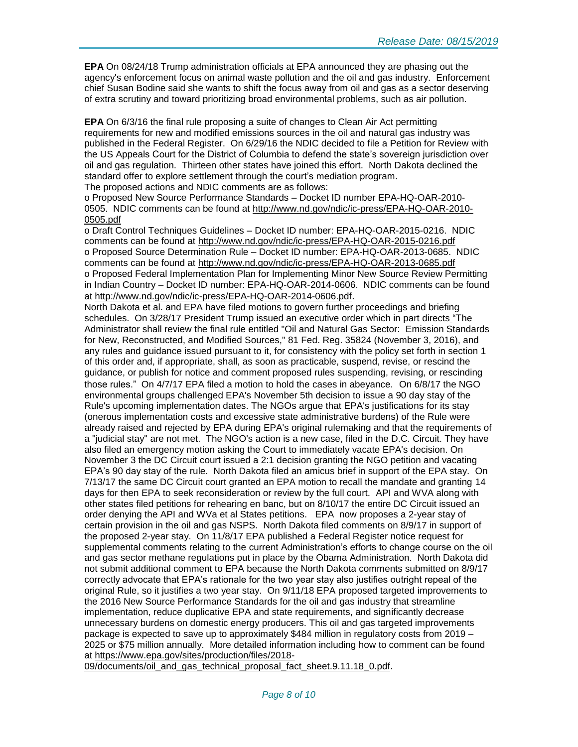**EPA** On 08/24/18 Trump administration officials at EPA announced they are phasing out the agency's enforcement focus on animal waste pollution and the oil and gas industry. Enforcement chief Susan Bodine said she wants to shift the focus away from oil and gas as a sector deserving of extra scrutiny and toward prioritizing broad environmental problems, such as air pollution.

**EPA** On 6/3/16 the final rule proposing a suite of changes to Clean Air Act permitting requirements for new and modified emissions sources in the oil and natural gas industry was published in the Federal Register. On 6/29/16 the NDIC decided to file a Petition for Review with the US Appeals Court for the District of Columbia to defend the state's sovereign jurisdiction over oil and gas regulation. Thirteen other states have joined this effort. North Dakota declined the standard offer to explore settlement through the court's mediation program. The proposed actions and NDIC comments are as follows:

o Proposed New Source Performance Standards – Docket ID number EPA-HQ-OAR-2010- 0505. NDIC comments can be found at [http://www.nd.gov/ndic/ic-press/EPA-HQ-OAR-2010-](http://www.nd.gov/ndic/ic-press/EPA-HQ-OAR-2010-0505.pdf) [0505.pdf](http://www.nd.gov/ndic/ic-press/EPA-HQ-OAR-2010-0505.pdf)

o Draft Control Techniques Guidelines – Docket ID number: EPA-HQ-OAR-2015-0216. NDIC comments can be found at<http://www.nd.gov/ndic/ic-press/EPA-HQ-OAR-2015-0216.pdf> o Proposed Source Determination Rule – Docket ID number: EPA-HQ-OAR-2013-0685. NDIC comments can be found at<http://www.nd.gov/ndic/ic-press/EPA-HQ-OAR-2013-0685.pdf> o Proposed Federal Implementation Plan for Implementing Minor New Source Review Permitting in Indian Country – Docket ID number: EPA-HQ-OAR-2014-0606. NDIC comments can be found at<http://www.nd.gov/ndic/ic-press/EPA-HQ-OAR-2014-0606.pdf>.

North Dakota et al. and EPA have filed motions to govern further proceedings and briefing schedules. On 3/28/17 President Trump issued an executive order which in part directs "The Administrator shall review the final rule entitled "Oil and Natural Gas Sector: Emission Standards for New, Reconstructed, and Modified Sources," 81 Fed. Reg. 35824 (November 3, 2016), and any rules and guidance issued pursuant to it, for consistency with the policy set forth in section 1 of this order and, if appropriate, shall, as soon as practicable, suspend, revise, or rescind the guidance, or publish for notice and comment proposed rules suspending, revising, or rescinding those rules." On 4/7/17 EPA filed a motion to hold the cases in abeyance. On 6/8/17 the NGO environmental groups challenged EPA's November 5th decision to issue a 90 day stay of the Rule's upcoming implementation dates. The NGOs argue that EPA's justifications for its stay (onerous implementation costs and excessive state administrative burdens) of the Rule were already raised and rejected by EPA during EPA's original rulemaking and that the requirements of a "judicial stay" are not met. The NGO's action is a new case, filed in the D.C. Circuit. They have also filed an emergency motion asking the Court to immediately vacate EPA's decision. On November 3 the DC Circuit court issued a 2:1 decision granting the NGO petition and vacating EPA's 90 day stay of the rule. North Dakota filed an amicus brief in support of the EPA stay. On 7/13/17 the same DC Circuit court granted an EPA motion to recall the mandate and granting 14 days for then EPA to seek reconsideration or review by the full court. API and WVA along with other states filed petitions for rehearing en banc, but on 8/10/17 the entire DC Circuit issued an order denying the API and WVa et al States petitions. EPA now proposes a 2-year stay of certain provision in the oil and gas NSPS. North Dakota filed comments on 8/9/17 in support of the proposed 2-year stay. On 11/8/17 EPA published a Federal Register notice request for supplemental comments relating to the current Administration's efforts to change course on the oil and gas sector methane regulations put in place by the Obama Administration. North Dakota did not submit additional comment to EPA because the North Dakota comments submitted on 8/9/17 correctly advocate that EPA's rationale for the two year stay also justifies outright repeal of the original Rule, so it justifies a two year stay. On 9/11/18 EPA proposed targeted improvements to the 2016 New Source Performance Standards for the oil and gas industry that streamline implementation, reduce duplicative EPA and state requirements, and significantly decrease unnecessary burdens on domestic energy producers. This oil and gas targeted improvements package is expected to save up to approximately \$484 million in regulatory costs from 2019 – 2025 or \$75 million annually. More detailed information including how to comment can be found at [https://www.epa.gov/sites/production/files/2018-](https://www.epa.gov/sites/production/files/2018-09/documents/oil_and_gas_technical_proposal_fact_sheet.9.11.18_0.pdf)

[09/documents/oil\\_and\\_gas\\_technical\\_proposal\\_fact\\_sheet.9.11.18\\_0.pdf.](https://www.epa.gov/sites/production/files/2018-09/documents/oil_and_gas_technical_proposal_fact_sheet.9.11.18_0.pdf)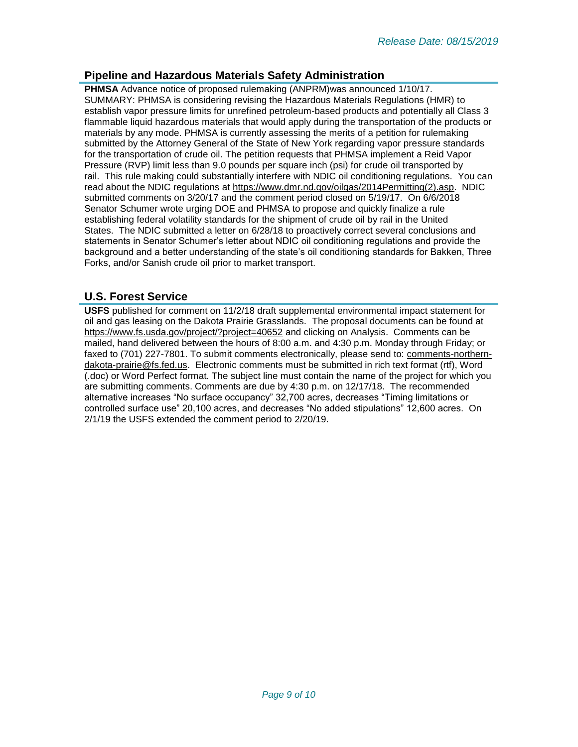# **Pipeline and Hazardous Materials Safety Administration**

**PHMSA** Advance notice of proposed rulemaking (ANPRM)was announced 1/10/17. SUMMARY: PHMSA is considering revising the Hazardous Materials Regulations (HMR) to establish vapor pressure limits for unrefined petroleum-based products and potentially all Class 3 flammable liquid hazardous materials that would apply during the transportation of the products or materials by any mode. PHMSA is currently assessing the merits of a petition for rulemaking submitted by the Attorney General of the State of New York regarding vapor pressure standards for the transportation of crude oil. The petition requests that PHMSA implement a Reid Vapor Pressure (RVP) limit less than 9.0 pounds per square inch (psi) for crude oil transported by rail. This rule making could substantially interfere with NDIC oil conditioning regulations. You can read about the NDIC regulations at [https://www.dmr.nd.gov/oilgas/2014Permitting\(2\).asp.](https://www.dmr.nd.gov/oilgas/2014Permitting(2).asp) NDIC submitted comments on 3/20/17 and the comment period closed on 5/19/17. On 6/6/2018 Senator Schumer wrote urging DOE and PHMSA to propose and quickly finalize a rule establishing federal volatility standards for the shipment of crude oil by rail in the United States. The NDIC submitted a letter on 6/28/18 to proactively correct several conclusions and statements in Senator Schumer's letter about NDIC oil conditioning regulations and provide the background and a better understanding of the state's oil conditioning standards for Bakken, Three Forks, and/or Sanish crude oil prior to market transport.

# **U.S. Forest Service**

**USFS** published for comment on 11/2/18 draft supplemental environmental impact statement for oil and gas leasing on the Dakota Prairie Grasslands. The proposal documents can be found at <https://www.fs.usda.gov/project/?project=40652> and clicking on Analysis. Comments can be mailed, hand delivered between the hours of 8:00 a.m. and 4:30 p.m. Monday through Friday; or faxed to (701) 227-7801. To submit comments electronically, please send to: [comments-northern](mailto:comments-northern-dakota-prairie@fs.fed.us)[dakota-prairie@fs.fed.us.](mailto:comments-northern-dakota-prairie@fs.fed.us) Electronic comments must be submitted in rich text format (rtf), Word (.doc) or Word Perfect format. The subject line must contain the name of the project for which you are submitting comments. Comments are due by 4:30 p.m. on 12/17/18. The recommended alternative increases "No surface occupancy" 32,700 acres, decreases "Timing limitations or controlled surface use" 20,100 acres, and decreases "No added stipulations" 12,600 acres. On 2/1/19 the USFS extended the comment period to 2/20/19.